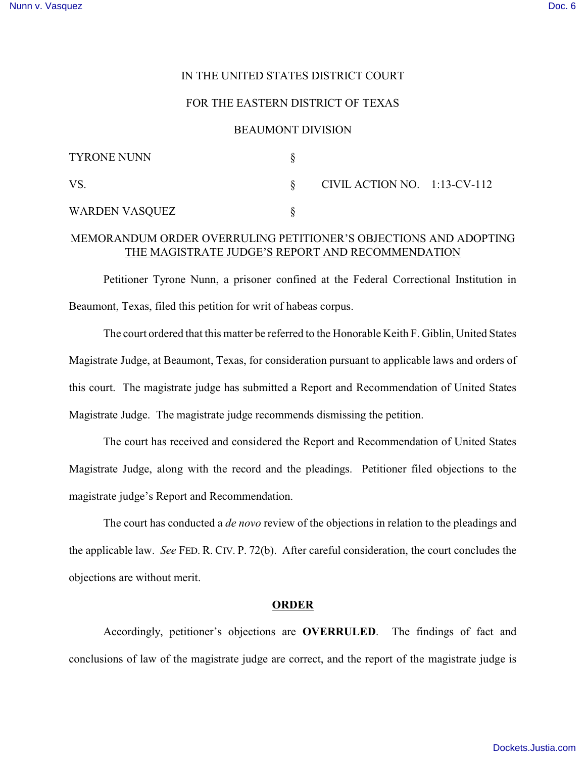# IN THE UNITED STATES DISTRICT COURT

## FOR THE EASTERN DISTRICT OF TEXAS

#### BEAUMONT DIVISION

| <b>TYRONE NUNN</b> |                                 |  |
|--------------------|---------------------------------|--|
| VS.                | CIVIL ACTION NO. $1:13$ -CV-112 |  |
| WARDEN VASQUEZ     |                                 |  |

# MEMORANDUM ORDER OVERRULING PETITIONER'S OBJECTIONS AND ADOPTING THE MAGISTRATE JUDGE'S REPORT AND RECOMMENDATION

Petitioner Tyrone Nunn, a prisoner confined at the Federal Correctional Institution in Beaumont, Texas, filed this petition for writ of habeas corpus.

The court ordered that this matter be referred to the Honorable Keith F. Giblin, United States Magistrate Judge, at Beaumont, Texas, for consideration pursuant to applicable laws and orders of this court. The magistrate judge has submitted a Report and Recommendation of United States Magistrate Judge. The magistrate judge recommends dismissing the petition.

The court has received and considered the Report and Recommendation of United States Magistrate Judge, along with the record and the pleadings. Petitioner filed objections to the magistrate judge's Report and Recommendation.

The court has conducted a *de novo* review of the objections in relation to the pleadings and the applicable law. *See* FED. R. CIV. P. 72(b). After careful consideration, the court concludes the objections are without merit.

## **ORDER**

Accordingly, petitioner's objections are **OVERRULED**. The findings of fact and conclusions of law of the magistrate judge are correct, and the report of the magistrate judge is